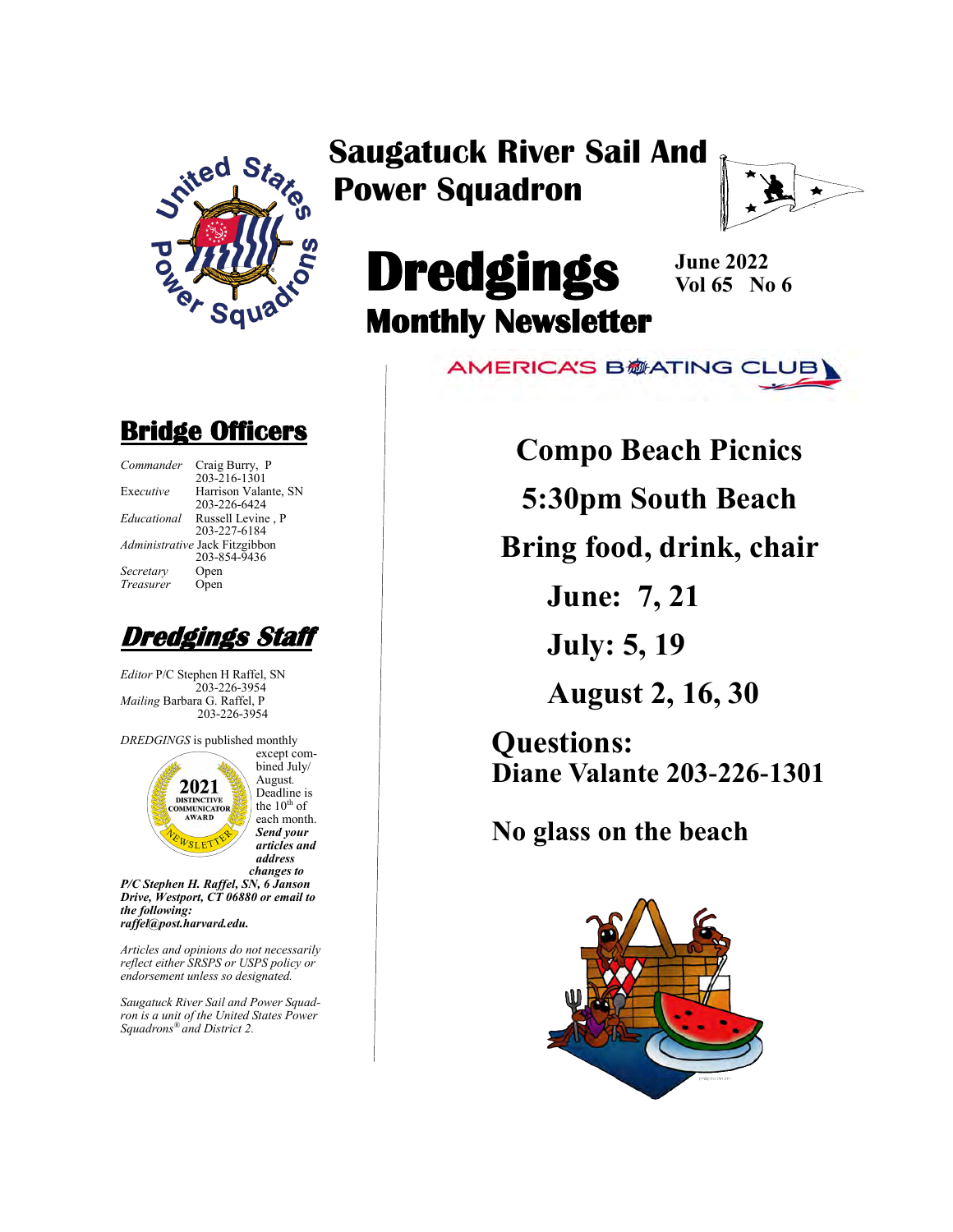

## **Saugatuck River Sail And Power Squadron**



# **Dredgings Monthly Newsletter**

**June 2022 Vol 65 No 6**

**AMERICA'S B参ATING CLUB** 

## **Bridge Officers**

| Commander   | Craig Burry, P                 |
|-------------|--------------------------------|
|             | 203-216-1301                   |
| Executive   | Harrison Valante, SN           |
|             | 203-226-6424                   |
| Educational | Russell Levine, P              |
|             | 203-227-6184                   |
|             | Administrative Jack Fitzgibbon |
|             | 203-854-9436                   |
| Secretary   | Open                           |
| Treasurer   | Open                           |
|             |                                |

**Dredgings Staff**

*Editor* P/C Stephen H Raffel, SN 203-226-3954 *Mailing* Barbara G. Raffel, P 203-226-3954

*DREDGINGS* is published monthly



bined July/ August*.*  Deadline is the  $10^{th}$  of each month. *Send your articles and address changes to*

except com-

*P/C Stephen H. Raffel, SN, 6 Janson Drive, Westport, CT 06880 or email to the following: raffel@post.harvard.edu.*

*Articles and opinions do not necessarily reflect either SRSPS or USPS policy or endorsement unless so designated.*

*Saugatuck River Sail and Power Squadron is a unit of the United States Power Squadrons® and District 2.*

**Compo Beach Picnics**

**5:30pm South Beach**

**Bring food, drink, chair**

**June: 7, 21**

**July: 5, 19**

**August 2, 16, 30**

**Questions: Diane Valante 203-226-1301**

**No glass on the beach**

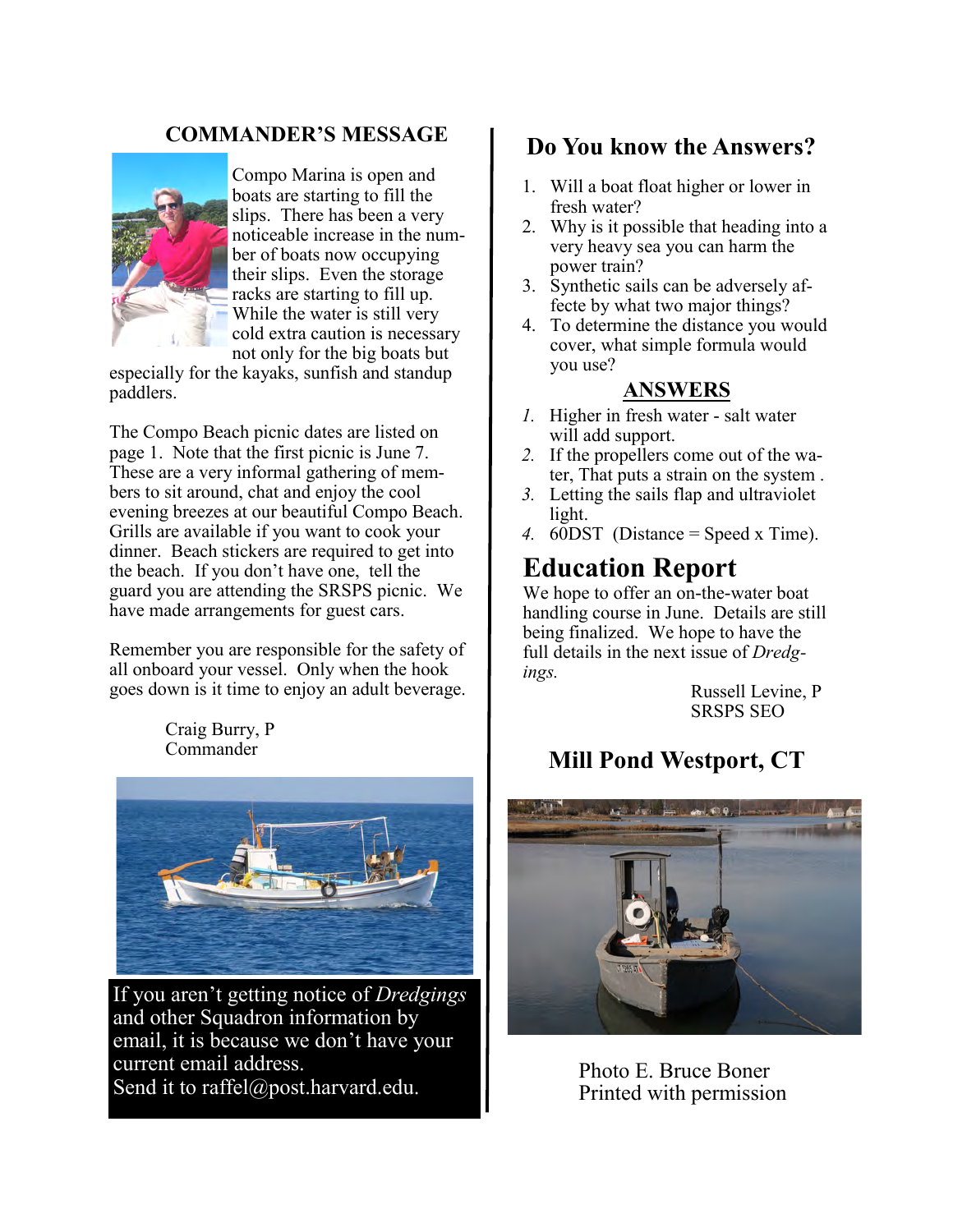### **COMMANDER'S MESSAGE**



Compo Marina is open and boats are starting to fill the slips. There has been a very noticeable increase in the number of boats now occupying their slips. Even the storage racks are starting to fill up. While the water is still very cold extra caution is necessary not only for the big boats but

especially for the kayaks, sunfish and standup paddlers.

The Compo Beach picnic dates are listed on page 1. Note that the first picnic is June 7. These are a very informal gathering of members to sit around, chat and enjoy the cool evening breezes at our beautiful Compo Beach. Grills are available if you want to cook your dinner. Beach stickers are required to get into the beach. If you don't have one, tell the guard you are attending the SRSPS picnic. We have made arrangements for guest cars.

Remember you are responsible for the safety of all onboard your vessel. Only when the hook goes down is it time to enjoy an adult beverage.

> Craig Burry, P Commander



If you aren't getting notice of *Dredgings* and other Squadron information by email, it is because we don't have your current email address. Send it to raffel@post.harvard.edu.

### **Do You know the Answers?**

- 1. Will a boat float higher or lower in fresh water?
- 2. Why is it possible that heading into a very heavy sea you can harm the power train?
- 3. Synthetic sails can be adversely affecte by what two major things?
- 4. To determine the distance you would cover, what simple formula would you use?

#### **ANSWERS**

- *1.* Higher in fresh water salt water will add support.
- *2.* If the propellers come out of the water, That puts a strain on the system .
- *3.* Letting the sails flap and ultraviolet light.
- *4.* 60DST (Distance = Speed x Time).

### **Education Report**

We hope to offer an on-the-water boat handling course in June. Details are still being finalized. We hope to have the full details in the next issue of *Dredgings.*

> Russell Levine, P SRSPS SEO

## **Mill Pond Westport, CT**



Photo E. Bruce Boner Printed with permission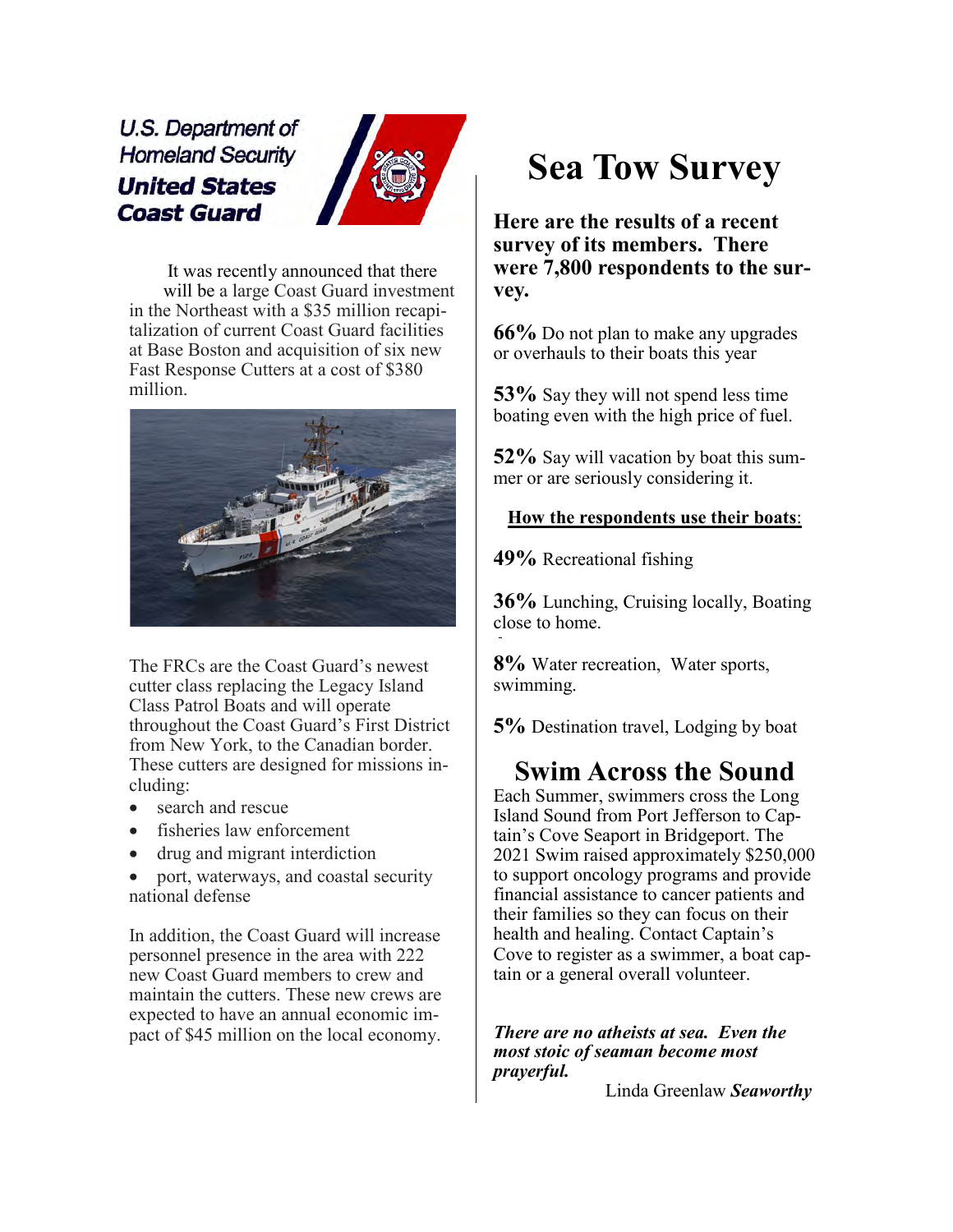U.S. Department of **Homeland Security United States Coast Guard** 



It was recently announced that there will be a large Coast Guard investment in the Northeast with a \$35 million recapitalization of current Coast Guard facilities at Base Boston and acquisition of six new Fast Response Cutters at a cost of \$380 million.



The FRCs are the Coast Guard's newest cutter class replacing the Legacy Island Class Patrol Boats and will operate throughout the Coast Guard's First District from New York, to the Canadian border. These cutters are designed for missions including:

- search and rescue
- fisheries law enforcement
- drug and migrant interdiction
- port, waterways, and coastal security national defense

In addition, the Coast Guard will increase personnel presence in the area with 222 new Coast Guard members to crew and maintain the cutters. These new crews are expected to have an annual economic impact of \$45 million on the local economy.

# **Sea Tow Survey**

**Here are the results of a recent survey of its members. There were 7,800 respondents to the survey.**

**66%** Do not plan to make any upgrades or overhauls to their boats this year

**53%** Say they will not spend less time boating even with the high price of fuel.

**52%** Say will vacation by boat this summer or are seriously considering it.

#### **How the respondents use their boats**:

**49%** Recreational fishing

**36%** Lunching, Cruising locally, Boating close to home.

**8%** Water recreation, Water sports, swimming.

**5%** Destination travel, Lodging by boat

### **Swim Across the Sound**

Each Summer, swimmers cross the Long Island Sound from Port Jefferson to Captain's Cove Seaport in Bridgeport. The 2021 Swim raised approximately \$250,000 to support oncology programs and provide financial assistance to cancer patients and their families so they can focus on their health and healing. Contact Captain's Cove to register as a swimmer, a boat captain or a general overall volunteer.

*There are no atheists at sea. Even the most stoic of seaman become most prayerful.*

Linda Greenlaw *Seaworthy*